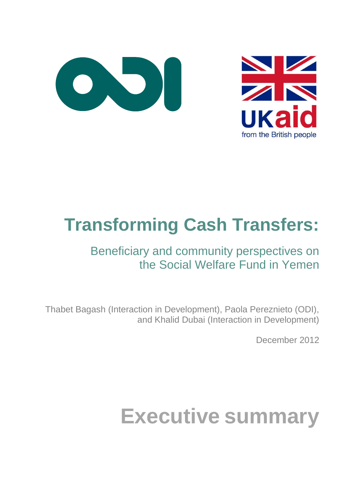



## **Transforming Cash Transfers:**

### Beneficiary and community perspectives on the Social Welfare Fund in Yemen

Thabet Bagash (Interaction in Development), Paola Pereznieto (ODI), and Khalid Dubai (Interaction in Development)

December 2012

# **Executive summary**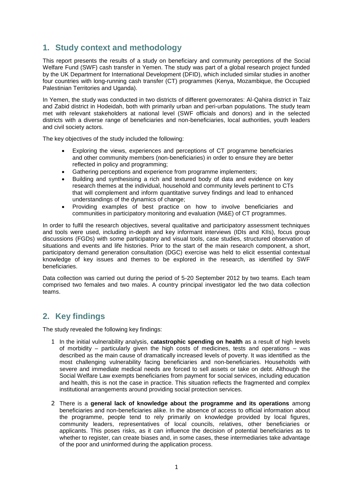#### **1. Study context and methodology**

This report presents the results of a study on beneficiary and community perceptions of the Social Welfare Fund (SWF) cash transfer in Yemen. The study was part of a global research project funded by the UK Department for International Development (DFID), which included similar studies in another four countries with long-running cash transfer (CT) programmes (Kenya, Mozambique, the Occupied Palestinian Territories and Uganda).

In Yemen, the study was conducted in two districts of different governorates: Al-Qahira district in Taiz and Zabid district in Hodeidah, both with primarily urban and peri-urban populations. The study team met with relevant stakeholders at national level (SWF officials and donors) and in the selected districts with a diverse range of beneficiaries and non-beneficiaries, local authorities, youth leaders and civil society actors.

The key objectives of the study included the following:

- Exploring the views, experiences and perceptions of CT programme beneficiaries and other community members (non-beneficiaries) in order to ensure they are better reflected in policy and programming;
- Gathering perceptions and experience from programme implementers;
- Building and synthesising a rich and textured body of data and evidence on key research themes at the individual, household and community levels pertinent to CTs that will complement and inform quantitative survey findings and lead to enhanced understandings of the dynamics of change;
- Providing examples of best practice on how to involve beneficiaries and communities in participatory monitoring and evaluation (M&E) of CT programmes.

In order to fulfil the research objectives, several qualitative and participatory assessment techniques and tools were used, including in-depth and key informant interviews (IDIs and KIIs), focus group discussions (FGDs) with some participatory and visual tools, case studies, structured observation of situations and events and life histories. Prior to the start of the main research component, a short, participatory demand generation consultation (DGC) exercise was held to elicit essential contextual knowledge of key issues and themes to be explored in the research, as identified by SWF beneficiaries.

Data collection was carried out during the period of 5-20 September 2012 by two teams. Each team comprised two females and two males. A country principal investigator led the two data collection teams.

#### **2. Key findings**

The study revealed the following key findings:

- 1 In the initial vulnerability analysis, **catastrophic spending on health** as a result of high levels of morbidity – particularly given the high costs of medicines, tests and operations – was described as the main cause of dramatically increased levels of poverty. It was identified as the most challenging vulnerability facing beneficiaries and non-beneficiaries. Households with severe and immediate medical needs are forced to sell assets or take on debt. Although the Social Welfare Law exempts beneficiaries from payment for social services, including education and health, this is not the case in practice. This situation reflects the fragmented and complex institutional arrangements around providing social protection services.
- 2 There is a **general lack of knowledge about the programme and its operations** among beneficiaries and non-beneficiaries alike. In the absence of access to official information about the programme, people tend to rely primarily on knowledge provided by local figures, community leaders, representatives of local councils, relatives, other beneficiaries or applicants. This poses risks, as it can influence the decision of potential beneficiaries as to whether to register, can create biases and, in some cases, these intermediaries take advantage of the poor and uninformed during the application process.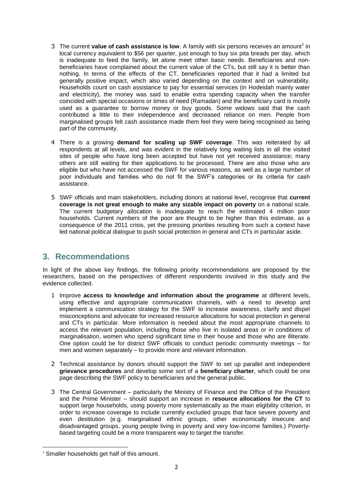- 3 The current **value of cash assistance is low**. A family with six persons receives an amount<sup>1</sup> in local currency equivalent to \$56 per quarter, just enough to buy six pita breads per day, which is inadequate to feed the family, let alone meet other basic needs. Beneficiaries and nonbeneficiaries have complained about the current value of the CTs, but still say it is better than nothing. In terms of the effects of the CT, beneficiaries reported that it had a limited but generally positive impact, which also varied depending on the context and on vulnerability. Households count on cash assistance to pay for essential services (in Hodeidah mainly water and electricity), the money was said to enable extra spending capacity when the transfer coincided with special occasions or times of need (Ramadan) and the beneficiary card is mostly used as a guarantee to borrow money or buy goods. Some widows said that the cash contributed a little to their independence and decreased reliance on men. People from marginalised groups felt cash assistance made them feel they were being recognised as being part of the community.
- 4 There is a growing **demand for scaling up SWF coverage**. This was reiterated by all respondents at all levels, and was evident in the relatively long waiting lists in all the visited sites of people who have long been accepted but have not yet received assistance; many others are still waiting for their applications to be processed. There are also those who are eligible but who have not accessed the SWF for various reasons, as well as a large number of poor individuals and families who do not fit the SWF's categories or its criteria for cash assistance.
- 5 SWF officials and main stakeholders, including donors at national level, recognise that **current coverage is not great enough to make any sizable impact on poverty** on a national scale. The current budgetary allocation is inadequate to reach the estimated 4 million poor households. Current numbers of the poor are thought to be higher than this estimate, as a consequence of the 2011 crisis, yet the pressing priorities resulting from such a context have led national political dialogue to push social protection in general and CTs in particular aside.

#### **3. Recommendations**

In light of the above key findings, the following priority recommendations are proposed by the researchers, based on the perspectives of different respondents involved in this study and the evidence collected.

- 1 Improve **access to knowledge and information about the programme** at different levels, using effective and appropriate communication channels, with a need to develop and implement a communication strategy for the SWF to increase awareness, clarify and dispel misconceptions and advocate for increased resource allocations for social protection in general and CTs in particular. More information is needed about the most appropriate channels to access the relevant population, including those who live in isolated areas or in conditions of marginalisation, women who spend significant time in their house and those who are illiterate. One option could be for district SWF officials to conduct periodic community meetings – for men and women separately – to provide more and relevant information.
- 2 Technical assistance by donors should support the SWF to set up parallel and independent **grievance procedures** and develop some sort of a **beneficiary charter**, which could be one page describing the SWF policy to beneficiaries and the general public.
- 3 The Central Government particularly the Ministry of Finance and the Office of the President and the Prime Minister – should support an increase in **resource allocations for the CT** to support large households, using poverty more systematically as the main eligibility criterion, in order to increase coverage to include currently excluded groups that face severe poverty and even destitution (e.g. marginalised ethnic groups, other economically insecure and disadvantaged groups, young people living in poverty and very low-income families.) Povertybased targeting could be a more transparent way to target the transfer.

**.** 

<sup>&</sup>lt;sup>1</sup> Smaller households get half of this amount.